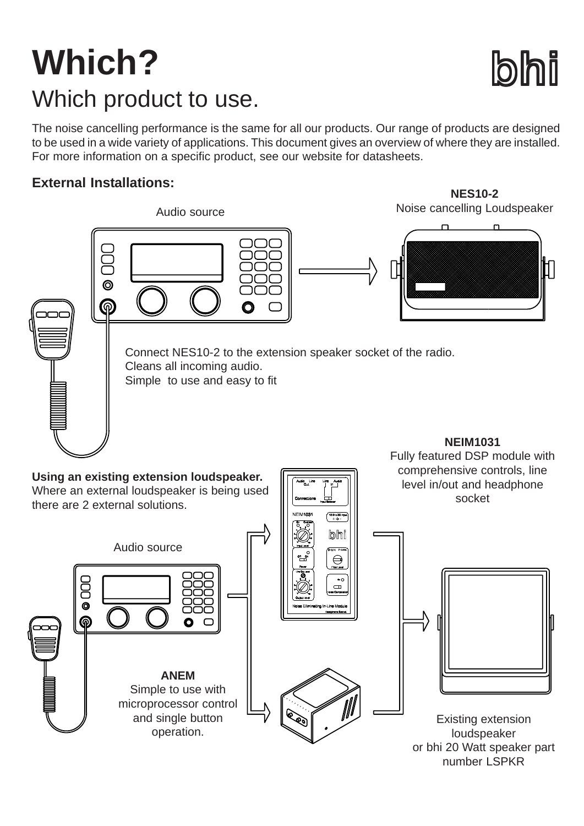## **Which? bhi** Which product to use.

Audio source

operation.

The noise cancelling performance is the same for all our products. Our range of products are designed to be used in a wide variety of applications. This document gives an overview of where they are installed. For more information on a specific product, see our website for datasheets.

## **External Installations:**



Existing extension loudspeaker or bhi 20 Watt speaker part number LSPKR

**NES10-2** Noise cancelling Loudspeaker